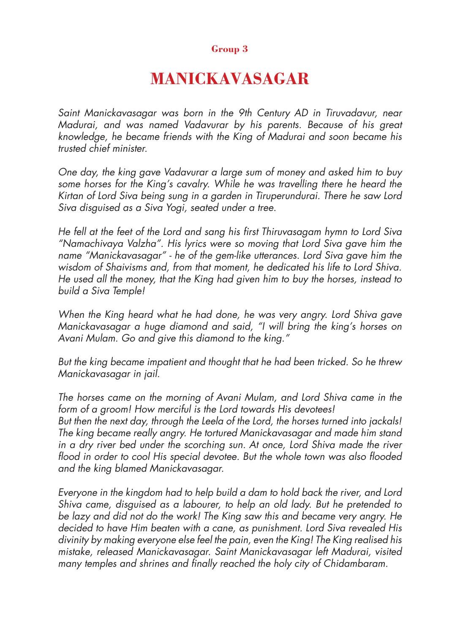## **Group 3**

## **MANICKAVASAGAR**

Saint Manickavasagar was born in the 9th Century AD in Tiruvadavur, near Madurai, and was named Vadavurar by his parents. Because of his great knowledge, he became friends with the King of Madurai and soon became his trusted chief minister.

One day, the king gave Vadavurar a large sum of money and asked him to buy some horses for the King's cavalry. While he was travelling there he heard the Kirtan of Lord Siva being sung in a garden in Tiruperundurai. There he saw Lord Siva disguised as a Siva Yogi, seated under a tree.

He fell at the feet of the Lord and sang his first Thiruvasagam hymn to Lord Siva "Namachivaya Valzha". His lyrics were so moving that Lord Siva gave him the name "Manickavasagar" - he of the gem-like utterances. Lord Siva gave him the wisdom of Shaivisms and, from that moment, he dedicated his life to Lord Shiva. He used all the money, that the King had given him to buy the horses, instead to build a Siva Temple!

When the King heard what he had done, he was very angry. Lord Shiva gave Manickavasagar a huge diamond and said, "I will bring the king's horses on Avani Mulam. Go and give this diamond to the king."

But the king became impatient and thought that he had been tricked. So he threw Manickavasagar in jail.

The horses came on the morning of Avani Mulam, and Lord Shiva came in the form of a groom! How merciful is the Lord towards His devotees! But then the next day, through the Leela of the Lord, the horses turned into jackals! The king became really angry. He tortured Manickavasagar and made him stand in a dry river bed under the scorching sun. At once, Lord Shiva made the river flood in order to cool His special devotee. But the whole town was also flooded and the king blamed Manickavasagar.

Everyone in the kingdom had to help build a dam to hold back the river, and Lord Shiva came, disguised as a labourer, to help an old lady. But he pretended to be lazy and did not do the work! The King saw this and became very angry. He decided to have Him beaten with a cane, as punishment. Lord Siva revealed His divinity by making everyone else feel the pain, even the King! The King realised his mistake, released Manickavasagar. Saint Manickavasagar left Madurai, visited many temples and shrines and finally reached the holy city of Chidambaram.